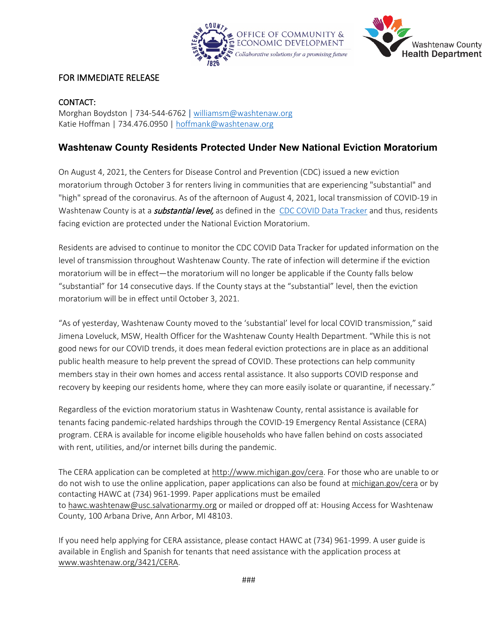



## FOR IMMEDIATE RELEASE

## CONTACT:

Morghan Boydston | 734-544-6762 | [williamsm@washtenaw.org](mailto:williamsm@washtenaw.org) Katie Hoffman | 734.476.0950 | [hoffmank@washtenaw.org](mailto:hoffmank@washtenaw.org)

## **Washtenaw County Residents Protected Under New National Eviction Moratorium**

On August 4, 2021, the Centers for Disease Control and Prevention (CDC) [issued a new eviction](https://www.cdc.gov/coronavirus/2019-ncov/communication/Signed-CDC-Eviction-Order.pdf?utm_source=NLIHC+All+Subscribers&utm_campaign=8c94c37e8a-Update_08032021&utm_medium=email&utm_term=0_e090383b5e-8c94c37e8a-293274653&ct=t(Update_08032021))  [moratorium](https://www.cdc.gov/coronavirus/2019-ncov/communication/Signed-CDC-Eviction-Order.pdf?utm_source=NLIHC+All+Subscribers&utm_campaign=8c94c37e8a-Update_08032021&utm_medium=email&utm_term=0_e090383b5e-8c94c37e8a-293274653&ct=t(Update_08032021)) through October 3 for renters living in communities that are experiencing "substantial" and "high" spread of the coronavirus. As of the afternoon of August 4, 2021, local transmission of COVID-19 in Washtenaw County is at a *substantial level*, as defined in the [CDC COVID Data Tracker](https://covid.cdc.gov/covid-data-tracker/#datatracker-home) and thus, residents facing eviction are protected under the National Eviction Moratorium.

Residents are advised to continue to monitor the CDC COVID Data Tracker for updated information on the level of transmission throughout Washtenaw County. The rate of infection will determine if the eviction moratorium will be in effect—the moratorium will no longer be applicable if the County falls below "substantial" for 14 consecutive days. If the County stays at the "substantial" level, then the eviction moratorium will be in effect until October 3, 2021.

"As of yesterday, Washtenaw County moved to the 'substantial' level for local COVID transmission," said Jimena Loveluck, MSW, Health Officer for the Washtenaw County Health Department. "While this is not good news for our COVID trends, it does mean federal eviction protections are in place as an additional public health measure to help prevent the spread of COVID. These protections can help community members stay in their own homes and access rental assistance. It also supports COVID response and recovery by keeping our residents home, where they can more easily isolate or quarantine, if necessary."

Regardless of the eviction moratorium status in Washtenaw County, rental assistance is available for tenants facing pandemic-related hardships through the COVID-19 Emergency Rental Assistance (CERA) program. CERA is available for income eligible households who have fallen behind on costs associated with rent, utilities, and/or internet bills during the pandemic.

The CERA application can be completed at [http://www.michigan.gov/cera.](http://www.michigan.gov/cera) For those who are unable to or do not wish to use the online application, paper applications can also be found at [michigan.gov/cera](https://gcc02.safelinks.protection.outlook.com/?url=https%3A%2F%2Fmichigan.gov%2Fcera&data=04%7C01%7Choffmank%40washtenaw.org%7C254c7e7cdf484c6fc15208d9160e8065%7C940f79927c85414e8cb10632dd3a5282%7C0%7C0%7C637565073799326921%7CUnknown%7CTWFpbGZsb3d8eyJWIjoiMC4wLjAwMDAiLCJQIjoiV2luMzIiLCJBTiI6Ik1haWwiLCJXVCI6Mn0%3D%7C1000&sdata=PzzcGhjuKoOcF9nyOX403vR99CzUXHu3KRocQmSbqCo%3D&reserved=0) or by contacting HAWC at (734) 961-1999. Paper applications must be emailed to [hawc.washtenaw@usc.salvationarmy.org](mailto:hawc.washtenaw@usc.salvationarmy.org,) or mailed or dropped off at: Housing Access for Washtenaw County, 100 Arbana Drive, Ann Arbor, MI 48103.

If you need help applying for CERA assistance, please contact HAWC at (734) 961-1999. A user guide is available in English and Spanish for tenants that need assistance with the application process at [www.washtenaw.org/3421/CERA.](https://www.washtenaw.org/3421/CERA?fbclid=IwAR0IPO82qHXodafME4vrcpV7YprnBBFHuRd6CSvhQbBk6D_jWAKMTusxeEc)